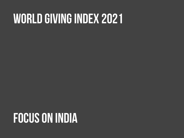# **World giving index 2021**

# **Focus on india**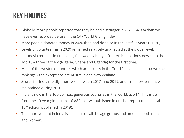# **Key findings**

- Globally, more people reported that they helped a stranger in 2020 (54.9%) than we have ever recorded before in the CAF World Giving Index.
- More people donated money in 2020 than had done so in the last five years (31.2%).
- **Levels of volunteering in 2020 remained relatively unaffected at the global level.**
- Indonesia remains in first place, followed by Kenya. Four African nations now sit in the Top 10 – three of them (Nigeria, Ghana and Uganda) for the first time.
- **Most of the western countries which are usually in the Top 10 have fallen far down the** rankings – the exceptions are Australia and New Zealand.
- Scores for India rapidly improved between 2017 and 2019, and this improvement was maintained during 2020.
- India is now in the Top 20 most generous countries in the world, at  $\#14$ . This is up from the 10-year global rank of #82 that we published in our last report (the special 10<sup>th</sup> edition published in 2019).
- The improvement in India is seen across all the age groups and amongst both men and women.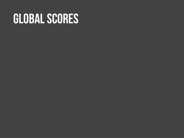# **Global scores**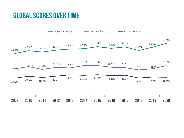# **Global scores over time**

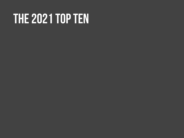# **The 2021 top ten**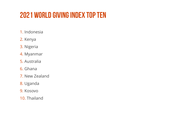# **2021 World giving index top ten**

- 1. Indonesia
- 2. Kenya
- 3. Nigeria
- 4. Myanmar
- 5. Australia
- 6. Ghana
- 7. New Zealand
- 8. Uganda
- 9. Kosovo
- 10. Thailand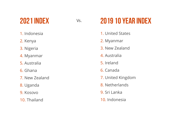# **2021 index**

- 1. Indonesia
- 2. Kenya
- 3. Nigeria
- 4. Myanmar
- 5. Australia
- 6. Ghana
- 7. New Zealand
- 8. Uganda
- 9. Kosovo
- 10. Thailand

# Vs. **2019 10 year index**

- 1. United States
- 2. Myanmar
- 3. New Zealand
- 4. Australia
- 5. Ireland
- 6. Canada
- 7. United Kingdom
- 8. Netherlands
- 9. Sri Lanka
- 10. Indonesia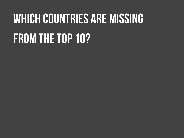# **Which countries are missing From the top 10?**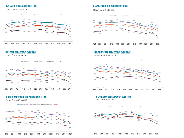#### **USA SCORE BREAKDOWN OVER TIME**

Down from #1 to #19



#### UK SCORE BREAKDOWN OVER TIME

Down from #7 to #22



#### NETHERLANDS SCORE BREAKDOWN OVER TIME

Down from #8 to #39



- Helping a stranger - - Donating Money - - Volunteering Time - - - WGI

#### **CANADA SCORE BREAKDOWN OVER TIME**

Down from #6 to #35



#### **IRELAND SCORE BREAKDOWN OVER TIME**

Down from #5 to #26



#### SRI LANKA SCORE BREAKDOWN OVER TIME

Down from #9 to #63

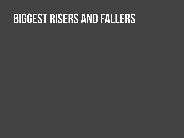# **biggest risers and fallers**

- 
- 
- -
	-
	-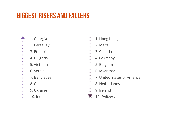# **Biggest risers and fallers**

- 1. Georgia
- 2. Paraguay
- 3. Ethiopia ۰
- 4. Bulgaria ò
- 5. Vietnam ۰
- 
- 6. Serbia  $\bullet$
- ٠ 7. Bangladesh ò.
- ۰ 8. China ٠
- ٠ 9. Ukraine  $\bullet$
- 
- 10. India ò.
- 1. Hong Kong
- 2. Malta
- 3. Canada
- 4. Germany
- 5. Belgium
- 6. Myanmar
- 7. United States of America
	- 8. Netherlands
	- 9. Ireland
- 10. Switzerland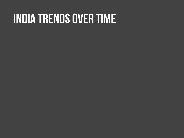# **india trends over time**

- 
- - - -
		-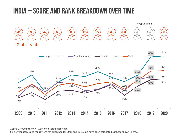## **india – score AND RANK breakdown over time**





Approx. 3,000 interviews were conducted each year.

Single year scores and ranks were not published for 2018 and 2019, but have been calculated as those shown in grey.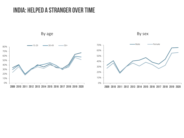### **india: helped a stranger over time**

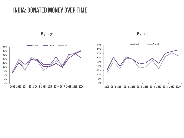### **india: donated money over time**

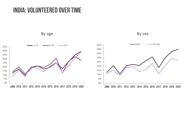### **india: volunteered over time**

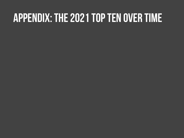# **Appendix: The 2021 top ten over time**

- 
- -
	- -
		-
		-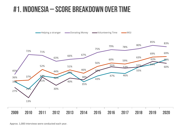# **#1. indonesia – score breakdown over time**



Approx. 1,000 interviews were conducted each year.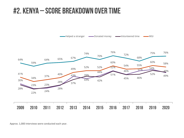# **#2. kenya – score breakdown over time**



Approx. 1,000 interviews were conducted each year.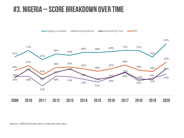### **#3. nigeria – score breakdown over time**

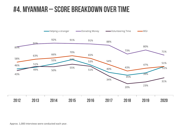# **#4. myanmar – score breakdown over time**

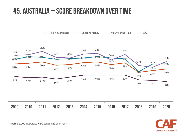# **#5. Australia – score breakdown over time**





Approx. 1,000 interviews were conducted each year.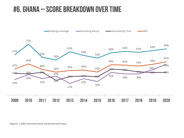# **#6. ghana – score breakdown over time**

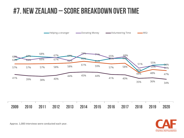# **#7. new zealand – score breakdown over time**





Approx. 1,000 interviews were conducted each year.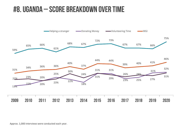## **#8. uganda – score breakdown over time**

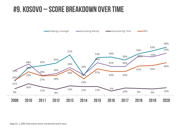## **#9. kosovo – score breakdown over time**